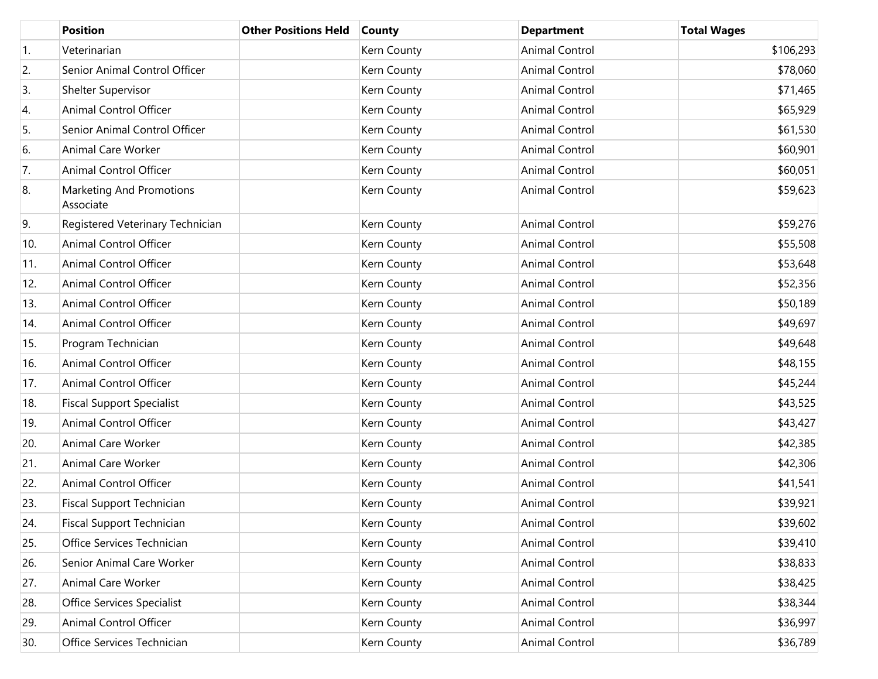|                  | <b>Position</b>                       | <b>Other Positions Held</b> | <b>County</b> | <b>Department</b>     | <b>Total Wages</b> |
|------------------|---------------------------------------|-----------------------------|---------------|-----------------------|--------------------|
| $\overline{1}$ . | Veterinarian                          |                             | Kern County   | <b>Animal Control</b> | \$106,293          |
| 2.               | Senior Animal Control Officer         |                             | Kern County   | <b>Animal Control</b> | \$78,060           |
| 3.               | Shelter Supervisor                    |                             | Kern County   | <b>Animal Control</b> | \$71,465           |
| 4.               | Animal Control Officer                |                             | Kern County   | Animal Control        | \$65,929           |
| 5.               | Senior Animal Control Officer         |                             | Kern County   | <b>Animal Control</b> | \$61,530           |
| 6.               | Animal Care Worker                    |                             | Kern County   | <b>Animal Control</b> | \$60,901           |
| 7.               | Animal Control Officer                |                             | Kern County   | <b>Animal Control</b> | \$60,051           |
| 8.               | Marketing And Promotions<br>Associate |                             | Kern County   | Animal Control        | \$59,623           |
| 9.               | Registered Veterinary Technician      |                             | Kern County   | <b>Animal Control</b> | \$59,276           |
| 10.              | Animal Control Officer                |                             | Kern County   | <b>Animal Control</b> | \$55,508           |
| 11.              | Animal Control Officer                |                             | Kern County   | <b>Animal Control</b> | \$53,648           |
| 12.              | Animal Control Officer                |                             | Kern County   | <b>Animal Control</b> | \$52,356           |
| 13.              | Animal Control Officer                |                             | Kern County   | <b>Animal Control</b> | \$50,189           |
| 14.              | Animal Control Officer                |                             | Kern County   | <b>Animal Control</b> | \$49,697           |
| 15.              | Program Technician                    |                             | Kern County   | <b>Animal Control</b> | \$49,648           |
| 16.              | Animal Control Officer                |                             | Kern County   | <b>Animal Control</b> | \$48,155           |
| 17.              | Animal Control Officer                |                             | Kern County   | <b>Animal Control</b> | \$45,244           |
| 18.              | <b>Fiscal Support Specialist</b>      |                             | Kern County   | <b>Animal Control</b> | \$43,525           |
| 19.              | Animal Control Officer                |                             | Kern County   | <b>Animal Control</b> | \$43,427           |
| 20.              | Animal Care Worker                    |                             | Kern County   | <b>Animal Control</b> | \$42,385           |
| 21.              | Animal Care Worker                    |                             | Kern County   | <b>Animal Control</b> | \$42,306           |
| 22.              | Animal Control Officer                |                             | Kern County   | <b>Animal Control</b> | \$41,541           |
| 23.              | Fiscal Support Technician             |                             | Kern County   | <b>Animal Control</b> | \$39,921           |
| 24.              | Fiscal Support Technician             |                             | Kern County   | Animal Control        | \$39,602           |
| 25.              | Office Services Technician            |                             | Kern County   | <b>Animal Control</b> | \$39,410           |
| 26.              | Senior Animal Care Worker             |                             | Kern County   | <b>Animal Control</b> | \$38,833           |
| 27.              | Animal Care Worker                    |                             | Kern County   | <b>Animal Control</b> | \$38,425           |
| 28.              | <b>Office Services Specialist</b>     |                             | Kern County   | <b>Animal Control</b> | \$38,344           |
| 29.              | Animal Control Officer                |                             | Kern County   | Animal Control        | \$36,997           |
| 30.              | Office Services Technician            |                             | Kern County   | Animal Control        | \$36,789           |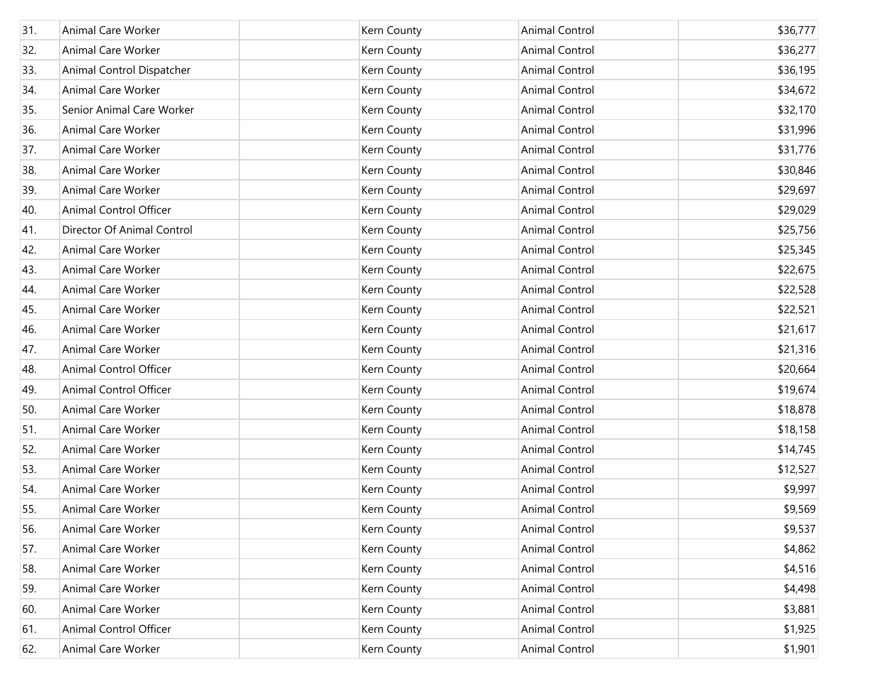| 31. | Animal Care Worker         | Kern County | Animal Control        | \$36,777 |
|-----|----------------------------|-------------|-----------------------|----------|
| 32. | <b>Animal Care Worker</b>  | Kern County | Animal Control        | \$36,277 |
| 33. | Animal Control Dispatcher  | Kern County | Animal Control        | \$36,195 |
| 34. | Animal Care Worker         | Kern County | Animal Control        | \$34,672 |
| 35. | Senior Animal Care Worker  | Kern County | Animal Control        | \$32,170 |
| 36. | Animal Care Worker         | Kern County | Animal Control        | \$31,996 |
| 37. | Animal Care Worker         | Kern County | Animal Control        | \$31,776 |
| 38. | Animal Care Worker         | Kern County | Animal Control        | \$30,846 |
| 39. | Animal Care Worker         | Kern County | Animal Control        | \$29,697 |
| 40. | Animal Control Officer     | Kern County | Animal Control        | \$29,029 |
| 41. | Director Of Animal Control | Kern County | Animal Control        | \$25,756 |
| 42. | Animal Care Worker         | Kern County | Animal Control        | \$25,345 |
| 43. | Animal Care Worker         | Kern County | Animal Control        | \$22,675 |
| 44. | Animal Care Worker         | Kern County | Animal Control        | \$22,528 |
| 45. | <b>Animal Care Worker</b>  | Kern County | Animal Control        | \$22,521 |
| 46. | Animal Care Worker         | Kern County | Animal Control        | \$21,617 |
| 47. | Animal Care Worker         | Kern County | Animal Control        | \$21,316 |
| 48. | Animal Control Officer     | Kern County | Animal Control        | \$20,664 |
| 49. | Animal Control Officer     | Kern County | Animal Control        | \$19,674 |
| 50. | Animal Care Worker         | Kern County | Animal Control        | \$18,878 |
| 51. | Animal Care Worker         | Kern County | Animal Control        | \$18,158 |
| 52. | Animal Care Worker         | Kern County | Animal Control        | \$14,745 |
| 53. | <b>Animal Care Worker</b>  | Kern County | Animal Control        | \$12,527 |
| 54. | Animal Care Worker         | Kern County | Animal Control        | \$9,997  |
| 55. | Animal Care Worker         | Kern County | Animal Control        | \$9,569  |
| 56. | Animal Care Worker         | Kern County | Animal Control        | \$9,537  |
| 57. | Animal Care Worker         | Kern County | Animal Control        | \$4,862  |
| 58. | Animal Care Worker         | Kern County | <b>Animal Control</b> | \$4,516  |
| 59. | Animal Care Worker         | Kern County | Animal Control        | \$4,498  |
| 60. | Animal Care Worker         | Kern County | Animal Control        | \$3,881  |
| 61. | Animal Control Officer     | Kern County | Animal Control        | \$1,925  |
| 62. | Animal Care Worker         | Kern County | Animal Control        | \$1,901  |